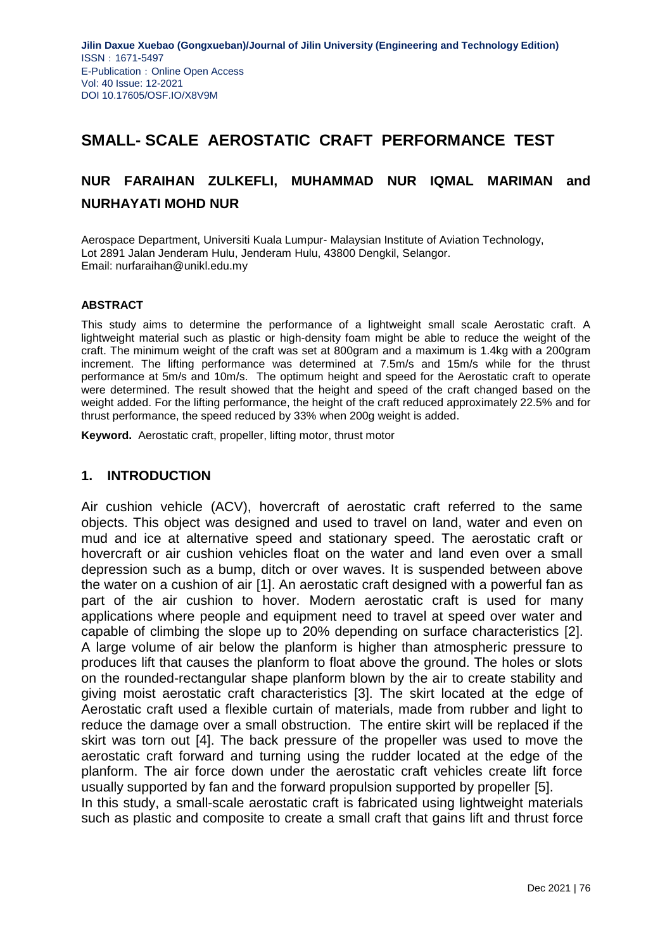## **SMALL- SCALE AEROSTATIC CRAFT PERFORMANCE TEST**

# **NUR FARAIHAN ZULKEFLI, MUHAMMAD NUR IQMAL MARIMAN and NURHAYATI MOHD NUR**

Aerospace Department, Universiti Kuala Lumpur- Malaysian Institute of Aviation Technology, Lot 2891 Jalan Jenderam Hulu, Jenderam Hulu, 43800 Dengkil, Selangor. Email: nurfaraihan@unikl.edu.my

#### **ABSTRACT**

This study aims to determine the performance of a lightweight small scale Aerostatic craft. A lightweight material such as plastic or high-density foam might be able to reduce the weight of the craft. The minimum weight of the craft was set at 800gram and a maximum is 1.4kg with a 200gram increment. The lifting performance was determined at 7.5m/s and 15m/s while for the thrust performance at 5m/s and 10m/s. The optimum height and speed for the Aerostatic craft to operate were determined. The result showed that the height and speed of the craft changed based on the weight added. For the lifting performance, the height of the craft reduced approximately 22.5% and for thrust performance, the speed reduced by 33% when 200g weight is added.

**Keyword.** Aerostatic craft, propeller, lifting motor, thrust motor

### **1. INTRODUCTION**

Air cushion vehicle (ACV), hovercraft of aerostatic craft referred to the same objects. This object was designed and used to travel on land, water and even on mud and ice at alternative speed and stationary speed. The aerostatic craft or hovercraft or air cushion vehicles float on the water and land even over a small depression such as a bump, ditch or over waves. It is suspended between above the water on a cushion of air [1]. An aerostatic craft designed with a powerful fan as part of the air cushion to hover. Modern aerostatic craft is used for many applications where people and equipment need to travel at speed over water and capable of climbing the slope up to 20% depending on surface characteristics [2]. A large volume of air below the planform is higher than atmospheric pressure to produces lift that causes the planform to float above the ground. The holes or slots on the rounded-rectangular shape planform blown by the air to create stability and giving moist aerostatic craft characteristics [3]. The skirt located at the edge of Aerostatic craft used a flexible curtain of materials, made from rubber and light to reduce the damage over a small obstruction. The entire skirt will be replaced if the skirt was torn out [4]. The back pressure of the propeller was used to move the aerostatic craft forward and turning using the rudder located at the edge of the planform. The air force down under the aerostatic craft vehicles create lift force usually supported by fan and the forward propulsion supported by propeller [5]. In this study, a small-scale aerostatic craft is fabricated using lightweight materials

such as plastic and composite to create a small craft that gains lift and thrust force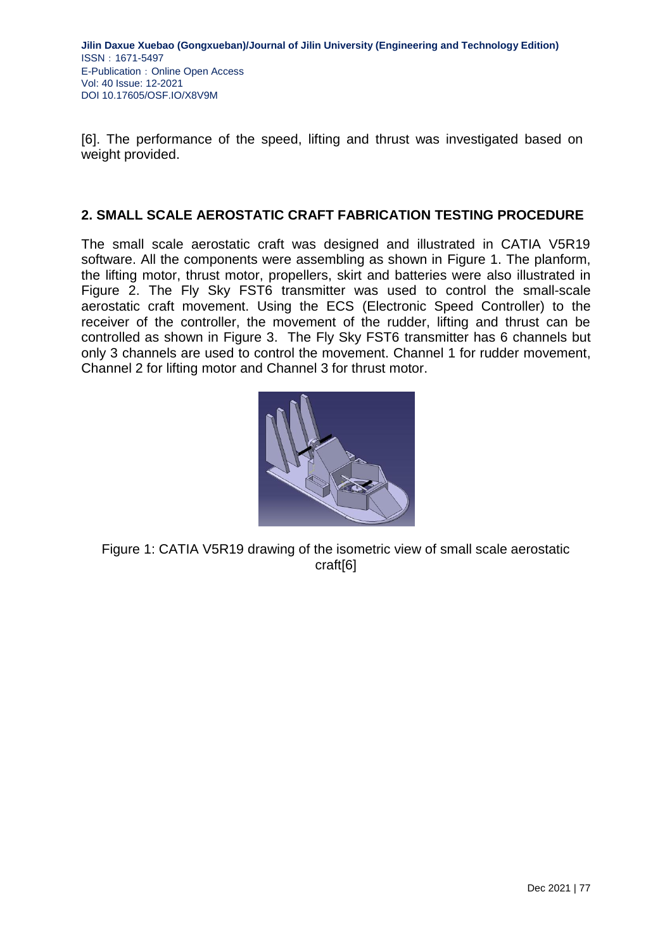**Jilin Daxue Xuebao (Gongxueban)/Journal of Jilin University (Engineering and Technology Edition)** ISSN:1671-5497 E-Publication: Online Open Access Vol: 40 Issue: 12-2021 DOI 10.17605/OSF.IO/X8V9M

[6]. The performance of the speed, lifting and thrust was investigated based on weight provided.

### **2. SMALL SCALE AEROSTATIC CRAFT FABRICATION TESTING PROCEDURE**

The small scale aerostatic craft was designed and illustrated in CATIA V5R19 software. All the components were assembling as shown in Figure 1. The planform, the lifting motor, thrust motor, propellers, skirt and batteries were also illustrated in Figure 2. The Fly Sky FST6 transmitter was used to control the small-scale aerostatic craft movement. Using the ECS (Electronic Speed Controller) to the receiver of the controller, the movement of the rudder, lifting and thrust can be controlled as shown in Figure 3. The Fly Sky FST6 transmitter has 6 channels but only 3 channels are used to control the movement. Channel 1 for rudder movement, Channel 2 for lifting motor and Channel 3 for thrust motor.



Figure 1: CATIA V5R19 drawing of the isometric view of small scale aerostatic craft[6]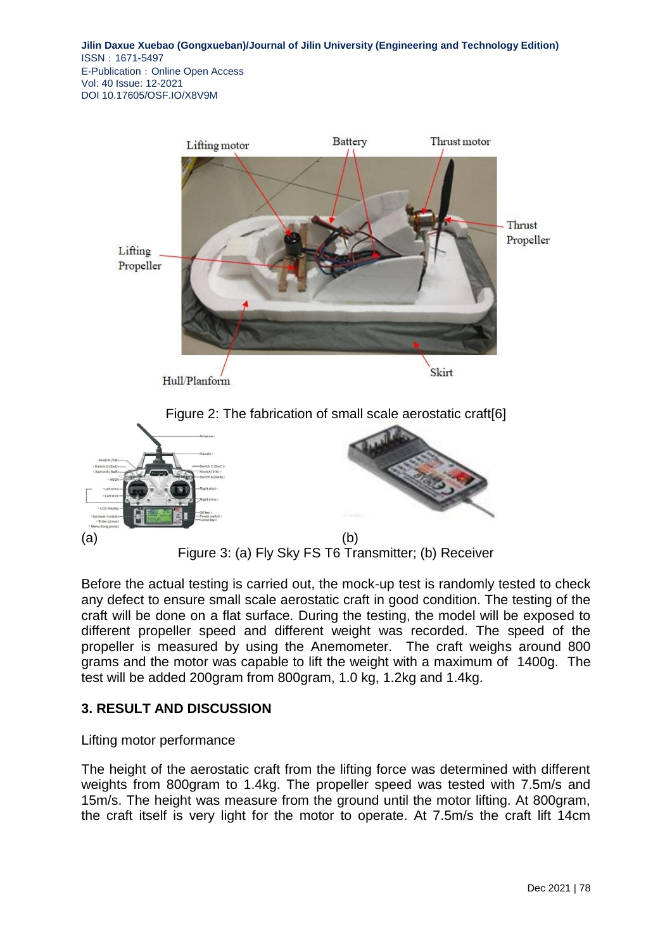**Jilin Daxue Xuebao (Gongxueban)/Journal of Jilin University (Engineering and Technology Edition)** ISSN:1671-5497 E-Publication: Online Open Access Vol: 40 Issue: 12-2021 DOI 10.17605/OSF.IO/X8V9M



Before the actual testing is carried out, the mock-up test is randomly tested to check any defect to ensure small scale aerostatic craft in good condition. The testing of the craft will be done on a flat surface. During the testing, the model will be exposed to different propeller speed and different weight was recorded. The speed of the propeller is measured by using the Anemometer. The craft weighs around 800 grams and the motor was capable to lift the weight with a maximum of 1400g. The test will be added 200gram from 800gram, 1.0 kg, 1.2kg and 1.4kg.

## **3. RESULT AND DISCUSSION**

#### Lifting motor performance

The height of the aerostatic craft from the lifting force was determined with different weights from 800gram to 1.4kg. The propeller speed was tested with 7.5m/s and 15m/s. The height was measure from the ground until the motor lifting. At 800gram, the craft itself is very light for the motor to operate. At 7.5m/s the craft lift 14cm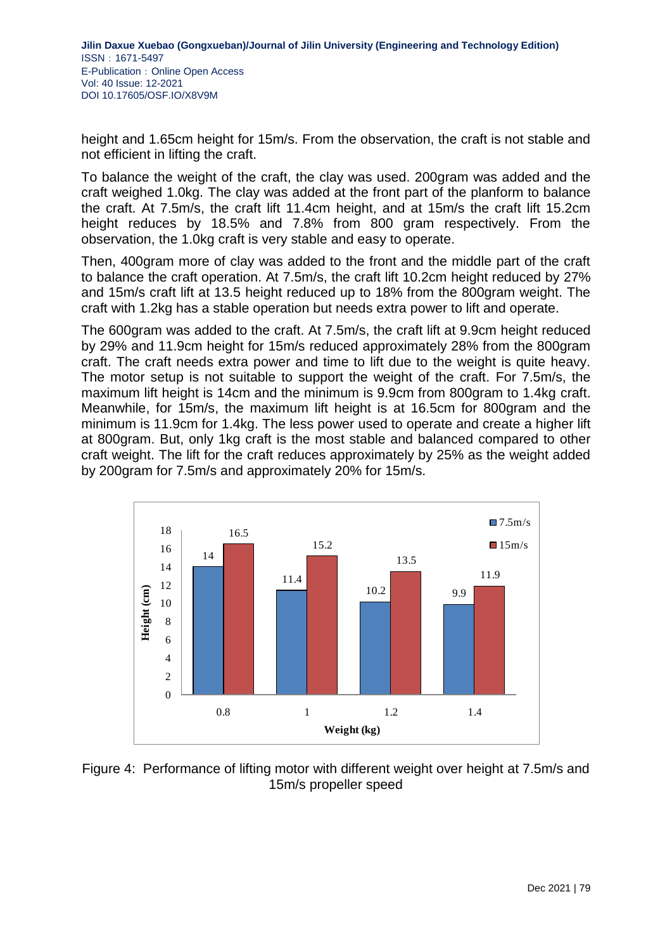height and 1.65cm height for 15m/s. From the observation, the craft is not stable and not efficient in lifting the craft.

To balance the weight of the craft, the clay was used. 200gram was added and the craft weighed 1.0kg. The clay was added at the front part of the planform to balance the craft. At 7.5m/s, the craft lift 11.4cm height, and at 15m/s the craft lift 15.2cm height reduces by 18.5% and 7.8% from 800 gram respectively. From the observation, the 1.0kg craft is very stable and easy to operate.

Then, 400gram more of clay was added to the front and the middle part of the craft to balance the craft operation. At 7.5m/s, the craft lift 10.2cm height reduced by 27% and 15m/s craft lift at 13.5 height reduced up to 18% from the 800gram weight. The craft with 1.2kg has a stable operation but needs extra power to lift and operate.

The 600gram was added to the craft. At 7.5m/s, the craft lift at 9.9cm height reduced by 29% and 11.9cm height for 15m/s reduced approximately 28% from the 800gram craft. The craft needs extra power and time to lift due to the weight is quite heavy. The motor setup is not suitable to support the weight of the craft. For 7.5m/s, the maximum lift height is 14cm and the minimum is 9.9cm from 800gram to 1.4kg craft. Meanwhile, for 15m/s, the maximum lift height is at 16.5cm for 800gram and the minimum is 11.9cm for 1.4kg. The less power used to operate and create a higher lift at 800gram. But, only 1kg craft is the most stable and balanced compared to other craft weight. The lift for the craft reduces approximately by 25% as the weight added by 200gram for 7.5m/s and approximately 20% for 15m/s.



Figure 4: Performance of lifting motor with different weight over height at 7.5m/s and 15m/s propeller speed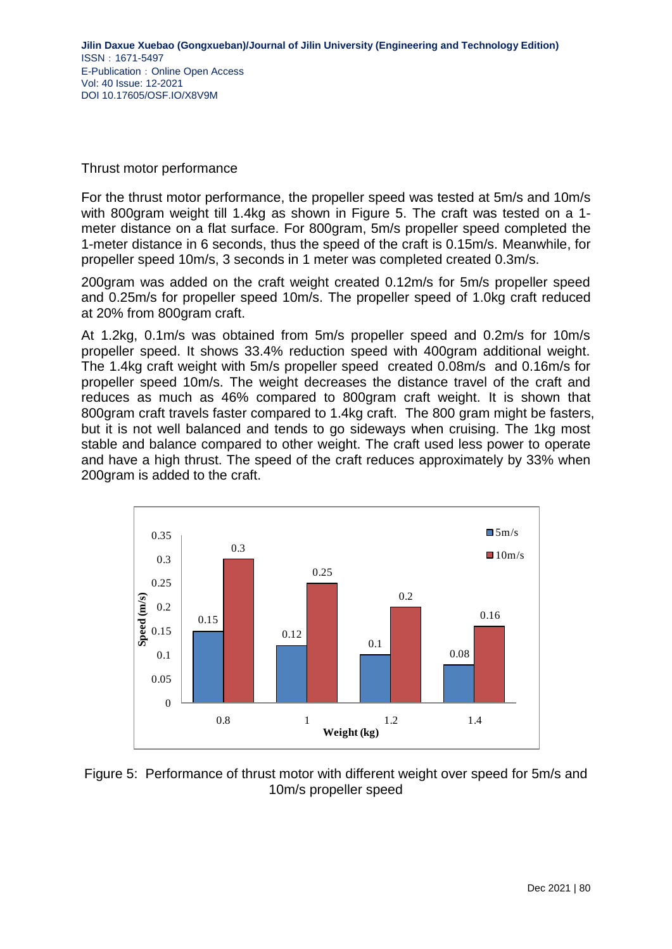### Thrust motor performance

For the thrust motor performance, the propeller speed was tested at 5m/s and 10m/s with 800gram weight till 1.4kg as shown in Figure 5. The craft was tested on a 1 meter distance on a flat surface. For 800gram, 5m/s propeller speed completed the 1-meter distance in 6 seconds, thus the speed of the craft is 0.15m/s. Meanwhile, for propeller speed 10m/s, 3 seconds in 1 meter was completed created 0.3m/s.

200gram was added on the craft weight created 0.12m/s for 5m/s propeller speed and 0.25m/s for propeller speed 10m/s. The propeller speed of 1.0kg craft reduced at 20% from 800gram craft.

At 1.2kg, 0.1m/s was obtained from 5m/s propeller speed and 0.2m/s for 10m/s propeller speed. It shows 33.4% reduction speed with 400gram additional weight. The 1.4kg craft weight with 5m/s propeller speed created 0.08m/s and 0.16m/s for propeller speed 10m/s. The weight decreases the distance travel of the craft and reduces as much as 46% compared to 800gram craft weight. It is shown that 800gram craft travels faster compared to 1.4kg craft. The 800 gram might be fasters, but it is not well balanced and tends to go sideways when cruising. The 1kg most stable and balance compared to other weight. The craft used less power to operate and have a high thrust. The speed of the craft reduces approximately by 33% when 200gram is added to the craft.



Figure 5: Performance of thrust motor with different weight over speed for 5m/s and 10m/s propeller speed